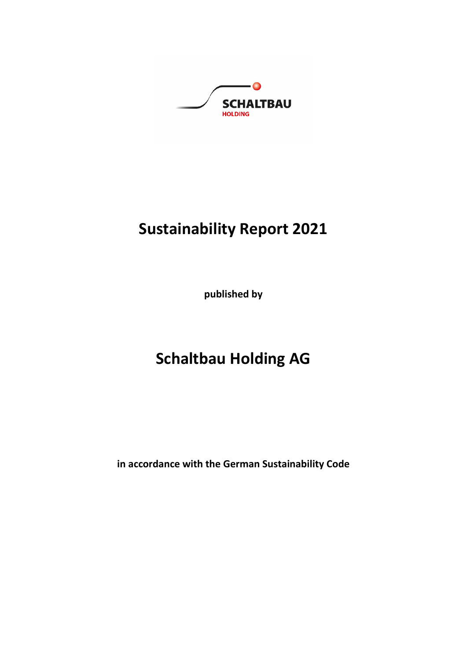

# **Sustainability Report 2021**

**published by**

# **Schaltbau Holding AG**

**in accordance with the German Sustainability Code**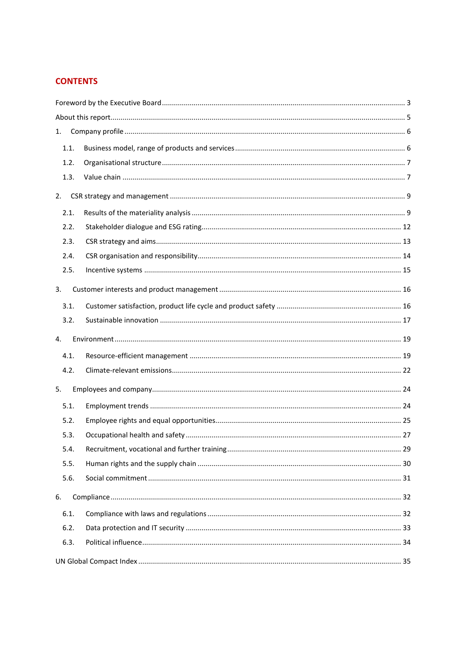# **CONTENTS**

| 1.   |  |  |  |  |
|------|--|--|--|--|
| 1.1. |  |  |  |  |
| 1.2. |  |  |  |  |
| 1.3. |  |  |  |  |
| 2.   |  |  |  |  |
| 2.1. |  |  |  |  |
| 2.2. |  |  |  |  |
| 2.3. |  |  |  |  |
| 2.4. |  |  |  |  |
| 2.5. |  |  |  |  |
| 3.   |  |  |  |  |
| 3.1. |  |  |  |  |
| 3.2. |  |  |  |  |
|      |  |  |  |  |
| 4.   |  |  |  |  |
| 4.1. |  |  |  |  |
| 4.2. |  |  |  |  |
| 5.   |  |  |  |  |
| 5.1. |  |  |  |  |
| 5.2. |  |  |  |  |
| 5.3. |  |  |  |  |
| 5.4. |  |  |  |  |
| 5.5. |  |  |  |  |
| 5.6. |  |  |  |  |
| 6.   |  |  |  |  |
| 6.1. |  |  |  |  |
| 6.2. |  |  |  |  |
| 6.3. |  |  |  |  |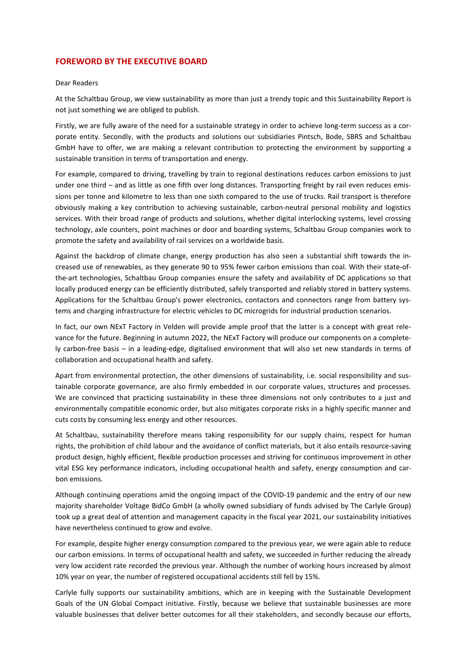## **FOREWORD BY THE EXECUTIVE BOARD**

#### Dear Readers

At the Schaltbau Group, we view sustainability as more than just a trendy topic and this Sustainability Report is not just something we are obliged to publish.

Firstly, we are fully aware of the need for a sustainable strategy in order to achieve long-term success as a corporate entity. Secondly, with the products and solutions our subsidiaries Pintsch, Bode, SBRS and Schaltbau GmbH have to offer, we are making a relevant contribution to protecting the environment by supporting a sustainable transition in terms of transportation and energy.

For example, compared to driving, travelling by train to regional destinations reduces carbon emissions to just under one third – and as little as one fifth over long distances. Transporting freight by rail even reduces emissions per tonne and kilometre to less than one sixth compared to the use of trucks. Rail transport is therefore obviously making a key contribution to achieving sustainable, carbon-neutral personal mobility and logistics services. With their broad range of products and solutions, whether digital interlocking systems, level crossing technology, axle counters, point machines or door and boarding systems, Schaltbau Group companies work to promote the safety and availability of rail services on a worldwide basis.

Against the backdrop of climate change, energy production has also seen a substantial shift towards the increased use of renewables, as they generate 90 to 95% fewer carbon emissions than coal. With their state-ofthe-art technologies, Schaltbau Group companies ensure the safety and availability of DC applications so that locally produced energy can be efficiently distributed, safely transported and reliably stored in battery systems. Applications for the Schaltbau Group's power electronics, contactors and connectors range from battery systems and charging infrastructure for electric vehicles to DC microgrids for industrial production scenarios.

In fact, our own NExT Factory in Velden will provide ample proof that the latter is a concept with great relevance for the future. Beginning in autumn 2022, the NExT Factory will produce our components on a completely carbon-free basis – in a leading-edge, digitalised environment that will also set new standards in terms of collaboration and occupational health and safety.

Apart from environmental protection, the other dimensions of sustainability, i.e. social responsibility and sustainable corporate governance, are also firmly embedded in our corporate values, structures and processes. We are convinced that practicing sustainability in these three dimensions not only contributes to a just and environmentally compatible economic order, but also mitigates corporate risks in a highly specific manner and cuts costs by consuming less energy and other resources.

At Schaltbau, sustainability therefore means taking responsibility for our supply chains, respect for human rights, the prohibition of child labour and the avoidance of conflict materials, but it also entails resource-saving product design, highly efficient, flexible production processes and striving for continuous improvement in other vital ESG key performance indicators, including occupational health and safety, energy consumption and carbon emissions.

Although continuing operations amid the ongoing impact of the COVID-19 pandemic and the entry of our new majority shareholder Voltage BidCo GmbH (a wholly owned subsidiary of funds advised by The Carlyle Group) took up a great deal of attention and management capacity in the fiscal year 2021, our sustainability initiatives have nevertheless continued to grow and evolve.

For example, despite higher energy consumption compared to the previous year, we were again able to reduce our carbon emissions. In terms of occupational health and safety, we succeeded in further reducing the already very low accident rate recorded the previous year. Although the number of working hours increased by almost 10% year on year, the number of registered occupational accidents still fell by 15%.

Carlyle fully supports our sustainability ambitions, which are in keeping with the Sustainable Development Goals of the UN Global Compact initiative. Firstly, because we believe that sustainable businesses are more valuable businesses that deliver better outcomes for all their stakeholders, and secondly because our efforts,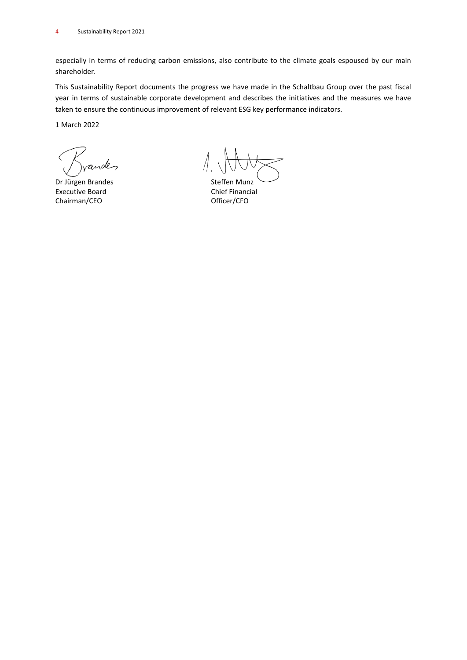especially in terms of reducing carbon emissions, also contribute to the climate goals espoused by our main shareholder.

This Sustainability Report documents the progress we have made in the Schaltbau Group over the past fiscal year in terms of sustainable corporate development and describes the initiatives and the measures we have taken to ensure the continuous improvement of relevant ESG key performance indicators.

1 March 2022

ande

Dr Jürgen Brandes Steffen Munz Executive Board **Chief Financial** Chairman/CEO **Officer/CFO**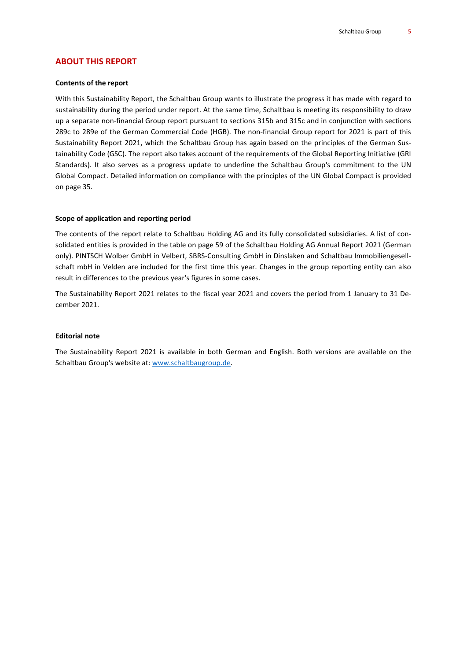## **ABOUT THIS REPORT**

#### **Contents of the report**

With this Sustainability Report, the Schaltbau Group wants to illustrate the progress it has made with regard to sustainability during the period under report. At the same time, Schaltbau is meeting its responsibility to draw up a separate non-financial Group report pursuant to sections 315b and 315c and in conjunction with sections 289c to 289e of the German Commercial Code (HGB). The non-financial Group report for 2021 is part of this Sustainability Report 2021, which the Schaltbau Group has again based on the principles of the German Sustainability Code (GSC). The report also takes account of the requirements of the Global Reporting Initiative (GRI Standards). It also serves as a progress update to underline the Schaltbau Group's commitment to the UN Global Compact. Detailed information on compliance with the principles of the UN Global Compact is provided on page 35.

#### **Scope of application and reporting period**

The contents of the report relate to Schaltbau Holding AG and its fully consolidated subsidiaries. A list of consolidated entities is provided in the table on page 59 of the Schaltbau Holding AG Annual Report 2021 (German only). PINTSCH Wolber GmbH in Velbert, SBRS-Consulting GmbH in Dinslaken and Schaltbau Immobiliengesellschaft mbH in Velden are included for the first time this year. Changes in the group reporting entity can also result in differences to the previous year's figures in some cases.

The Sustainability Report 2021 relates to the fiscal year 2021 and covers the period from 1 January to 31 December 2021.

#### **Editorial note**

The Sustainability Report 2021 is available in both German and English. Both versions are available on the Schaltbau Group's website at: [www.schaltbaugroup.de.](http://www.schaltbaugroup.de/)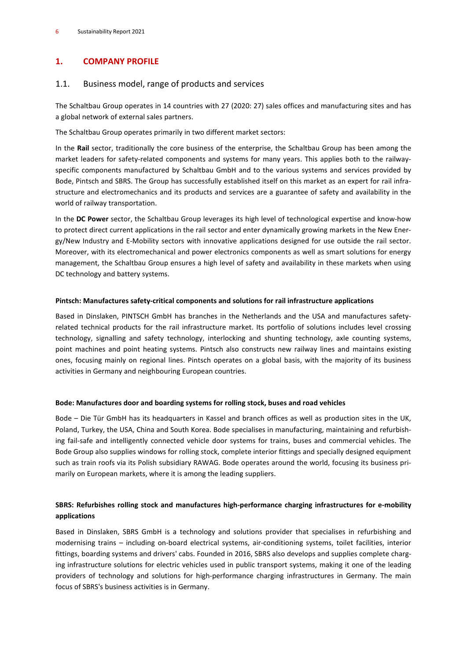## **1. COMPANY PROFILE**

## 1.1. Business model, range of products and services

The Schaltbau Group operates in 14 countries with 27 (2020: 27) sales offices and manufacturing sites and has a global network of external sales partners.

The Schaltbau Group operates primarily in two different market sectors:

In the **Rail** sector, traditionally the core business of the enterprise, the Schaltbau Group has been among the market leaders for safety-related components and systems for many years. This applies both to the railwayspecific components manufactured by Schaltbau GmbH and to the various systems and services provided by Bode, Pintsch and SBRS. The Group has successfully established itself on this market as an expert for rail infrastructure and electromechanics and its products and services are a guarantee of safety and availability in the world of railway transportation.

In the **DC Power** sector, the Schaltbau Group leverages its high level of technological expertise and know-how to protect direct current applications in the rail sector and enter dynamically growing markets in the New Energy/New Industry and E-Mobility sectors with innovative applications designed for use outside the rail sector. Moreover, with its electromechanical and power electronics components as well as smart solutions for energy management, the Schaltbau Group ensures a high level of safety and availability in these markets when using DC technology and battery systems.

## **Pintsch: Manufactures safety-critical components and solutions for rail infrastructure applications**

Based in Dinslaken, PINTSCH GmbH has branches in the Netherlands and the USA and manufactures safetyrelated technical products for the rail infrastructure market. Its portfolio of solutions includes level crossing technology, signalling and safety technology, interlocking and shunting technology, axle counting systems, point machines and point heating systems. Pintsch also constructs new railway lines and maintains existing ones, focusing mainly on regional lines. Pintsch operates on a global basis, with the majority of its business activities in Germany and neighbouring European countries.

## **Bode: Manufactures door and boarding systems for rolling stock, buses and road vehicles**

Bode – Die Tür GmbH has its headquarters in Kassel and branch offices as well as production sites in the UK, Poland, Turkey, the USA, China and South Korea. Bode specialises in manufacturing, maintaining and refurbishing fail-safe and intelligently connected vehicle door systems for trains, buses and commercial vehicles. The Bode Group also supplies windows for rolling stock, complete interior fittings and specially designed equipment such as train roofs via its Polish subsidiary RAWAG. Bode operates around the world, focusing its business primarily on European markets, where it is among the leading suppliers.

## **SBRS: Refurbishes rolling stock and manufactures high-performance charging infrastructures for e-mobility applications**

Based in Dinslaken, SBRS GmbH is a technology and solutions provider that specialises in refurbishing and modernising trains – including on-board electrical systems, air-conditioning systems, toilet facilities, interior fittings, boarding systems and drivers' cabs. Founded in 2016, SBRS also develops and supplies complete charging infrastructure solutions for electric vehicles used in public transport systems, making it one of the leading providers of technology and solutions for high-performance charging infrastructures in Germany. The main focus of SBRS's business activities is in Germany.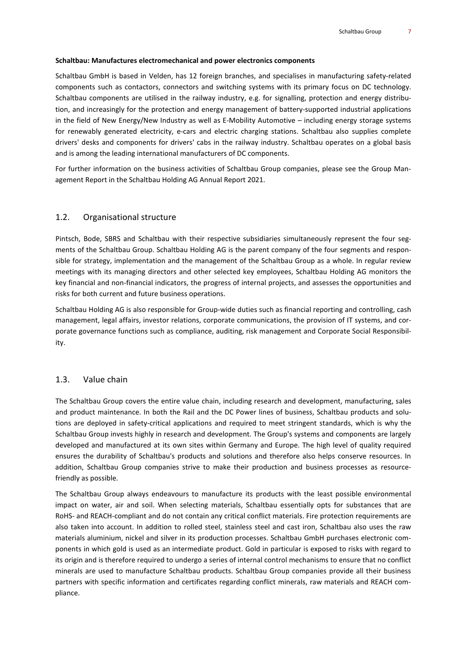#### **Schaltbau: Manufactures electromechanical and power electronics components**

Schaltbau GmbH is based in Velden, has 12 foreign branches, and specialises in manufacturing safety-related components such as contactors, connectors and switching systems with its primary focus on DC technology. Schaltbau components are utilised in the railway industry, e.g. for signalling, protection and energy distribution, and increasingly for the protection and energy management of battery-supported industrial applications in the field of New Energy/New Industry as well as E-Mobility Automotive – including energy storage systems for renewably generated electricity, e-cars and electric charging stations. Schaltbau also supplies complete drivers' desks and components for drivers' cabs in the railway industry. Schaltbau operates on a global basis and is among the leading international manufacturers of DC components.

For further information on the business activities of Schaltbau Group companies, please see the Group Management Report in the Schaltbau Holding AG Annual Report 2021.

#### 1.2. Organisational structure

Pintsch, Bode, SBRS and Schaltbau with their respective subsidiaries simultaneously represent the four segments of the Schaltbau Group. Schaltbau Holding AG is the parent company of the four segments and responsible for strategy, implementation and the management of the Schaltbau Group as a whole. In regular review meetings with its managing directors and other selected key employees, Schaltbau Holding AG monitors the key financial and non-financial indicators, the progress of internal projects, and assesses the opportunities and risks for both current and future business operations.

Schaltbau Holding AG is also responsible for Group-wide duties such as financial reporting and controlling, cash management, legal affairs, investor relations, corporate communications, the provision of IT systems, and corporate governance functions such as compliance, auditing, risk management and Corporate Social Responsibility.

#### 1.3. Value chain

The Schaltbau Group covers the entire value chain, including research and development, manufacturing, sales and product maintenance. In both the Rail and the DC Power lines of business, Schaltbau products and solutions are deployed in safety-critical applications and required to meet stringent standards, which is why the Schaltbau Group invests highly in research and development. The Group's systems and components are largely developed and manufactured at its own sites within Germany and Europe. The high level of quality required ensures the durability of Schaltbau's products and solutions and therefore also helps conserve resources. In addition, Schaltbau Group companies strive to make their production and business processes as resourcefriendly as possible.

The Schaltbau Group always endeavours to manufacture its products with the least possible environmental impact on water, air and soil. When selecting materials, Schaltbau essentially opts for substances that are RoHS- and REACH-compliant and do not contain any critical conflict materials. Fire protection requirements are also taken into account. In addition to rolled steel, stainless steel and cast iron, Schaltbau also uses the raw materials aluminium, nickel and silver in its production processes. Schaltbau GmbH purchases electronic components in which gold is used as an intermediate product. Gold in particular is exposed to risks with regard to its origin and is therefore required to undergo a series of internal control mechanisms to ensure that no conflict minerals are used to manufacture Schaltbau products. Schaltbau Group companies provide all their business partners with specific information and certificates regarding conflict minerals, raw materials and REACH compliance.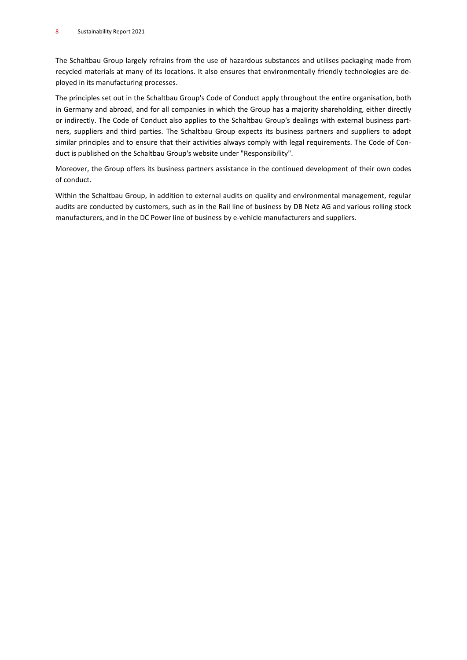The Schaltbau Group largely refrains from the use of hazardous substances and utilises packaging made from recycled materials at many of its locations. It also ensures that environmentally friendly technologies are deployed in its manufacturing processes.

The principles set out in the Schaltbau Group's Code of Conduct apply throughout the entire organisation, both in Germany and abroad, and for all companies in which the Group has a majority shareholding, either directly or indirectly. The Code of Conduct also applies to the Schaltbau Group's dealings with external business partners, suppliers and third parties. The Schaltbau Group expects its business partners and suppliers to adopt similar principles and to ensure that their activities always comply with legal requirements. The Code of Conduct is published on the Schaltbau Group's website under "Responsibility".

Moreover, the Group offers its business partners assistance in the continued development of their own codes of conduct.

Within the Schaltbau Group, in addition to external audits on quality and environmental management, regular audits are conducted by customers, such as in the Rail line of business by DB Netz AG and various rolling stock manufacturers, and in the DC Power line of business by e-vehicle manufacturers and suppliers.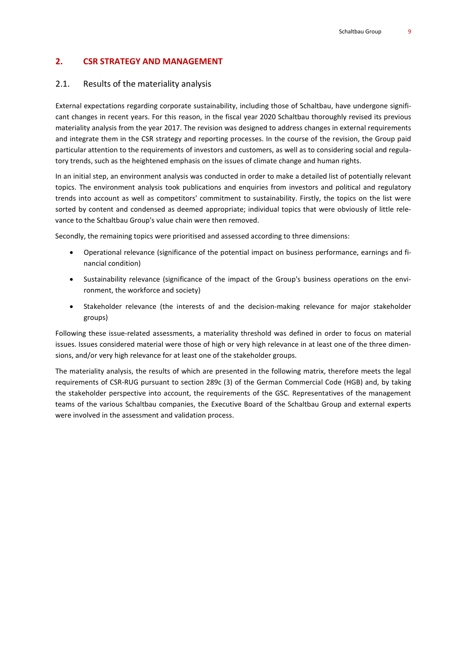## **2. CSR STRATEGY AND MANAGEMENT**

#### 2.1. Results of the materiality analysis

External expectations regarding corporate sustainability, including those of Schaltbau, have undergone significant changes in recent years. For this reason, in the fiscal year 2020 Schaltbau thoroughly revised its previous materiality analysis from the year 2017. The revision was designed to address changes in external requirements and integrate them in the CSR strategy and reporting processes. In the course of the revision, the Group paid particular attention to the requirements of investors and customers, as well as to considering social and regulatory trends, such as the heightened emphasis on the issues of climate change and human rights.

In an initial step, an environment analysis was conducted in order to make a detailed list of potentially relevant topics. The environment analysis took publications and enquiries from investors and political and regulatory trends into account as well as competitors' commitment to sustainability. Firstly, the topics on the list were sorted by content and condensed as deemed appropriate; individual topics that were obviously of little relevance to the Schaltbau Group's value chain were then removed.

Secondly, the remaining topics were prioritised and assessed according to three dimensions:

- Operational relevance (significance of the potential impact on business performance, earnings and financial condition)
- Sustainability relevance (significance of the impact of the Group's business operations on the environment, the workforce and society)
- Stakeholder relevance (the interests of and the decision-making relevance for major stakeholder groups)

Following these issue-related assessments, a materiality threshold was defined in order to focus on material issues. Issues considered material were those of high or very high relevance in at least one of the three dimensions, and/or very high relevance for at least one of the stakeholder groups.

The materiality analysis, the results of which are presented in the following matrix, therefore meets the legal requirements of CSR-RUG pursuant to section 289c (3) of the German Commercial Code (HGB) and, by taking the stakeholder perspective into account, the requirements of the GSC. Representatives of the management teams of the various Schaltbau companies, the Executive Board of the Schaltbau Group and external experts were involved in the assessment and validation process.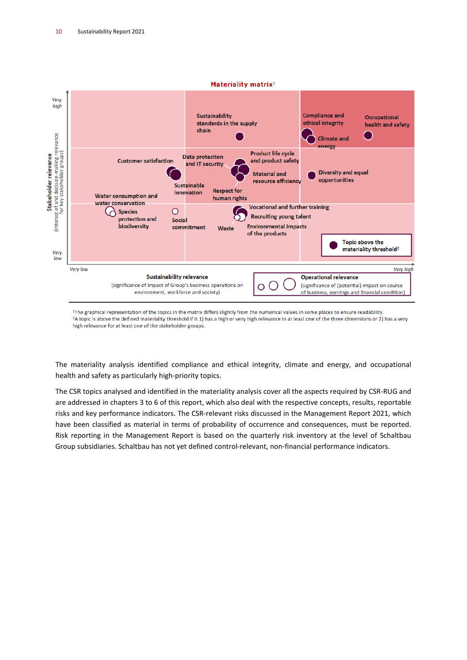

<sup>1</sup>The graphical representation of the topics in the matrix differs slightly from the numerical values in some places to ensure readability. <sup>2</sup>A topic is above the defined materiality threshold if it 1) has a high or very high relevance in at least one of the three dimensions or 2) has a very high relevance for at least one of the stakeholder groups.

The materiality analysis identified compliance and ethical integrity, climate and energy, and occupational health and safety as particularly high-priority topics.

The CSR topics analysed and identified in the materiality analysis cover all the aspects required by CSR-RUG and are addressed in chapters 3 to 6 of this report, which also deal with the respective concepts, results, reportable risks and key performance indicators. The CSR-relevant risks discussed in the Management Report 2021, which have been classified as material in terms of probability of occurrence and consequences, must be reported. Risk reporting in the Management Report is based on the quarterly risk inventory at the level of Schaltbau Group subsidiaries. Schaltbau has not yet defined control-relevant, non-financial performance indicators.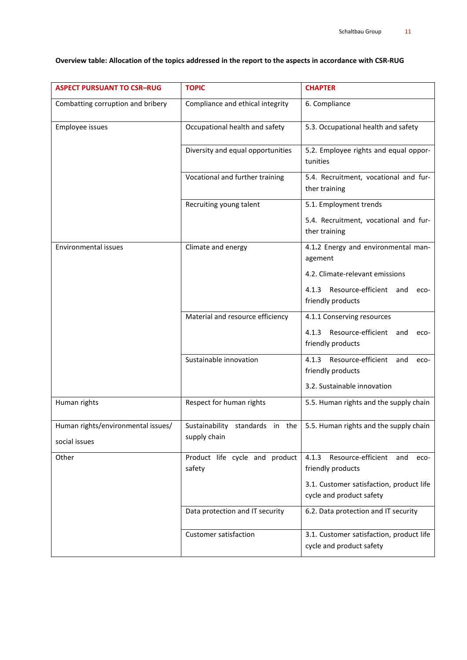| <b>ASPECT PURSUANT TO CSR-RUG</b>                   | <b>TOPIC</b>                                    | <b>CHAPTER</b>                                                       |  |
|-----------------------------------------------------|-------------------------------------------------|----------------------------------------------------------------------|--|
| Combatting corruption and bribery                   | Compliance and ethical integrity                | 6. Compliance                                                        |  |
| Employee issues                                     | Occupational health and safety                  | 5.3. Occupational health and safety                                  |  |
|                                                     | Diversity and equal opportunities               | 5.2. Employee rights and equal oppor-<br>tunities                    |  |
|                                                     | Vocational and further training                 | 5.4. Recruitment, vocational and fur-<br>ther training               |  |
|                                                     | Recruiting young talent                         | 5.1. Employment trends                                               |  |
|                                                     |                                                 | 5.4. Recruitment, vocational and fur-<br>ther training               |  |
| Environmental issues                                | Climate and energy                              | 4.1.2 Energy and environmental man-<br>agement                       |  |
|                                                     |                                                 | 4.2. Climate-relevant emissions                                      |  |
|                                                     |                                                 | 4.1.3 Resource-efficient and<br>eco-<br>friendly products            |  |
|                                                     | Material and resource efficiency                | 4.1.1 Conserving resources                                           |  |
|                                                     |                                                 | 4.1.3 Resource-efficient<br>and<br>eco-<br>friendly products         |  |
|                                                     | Sustainable innovation                          | Resource-efficient<br>4.1.3<br>and<br>eco-<br>friendly products      |  |
|                                                     |                                                 | 3.2. Sustainable innovation                                          |  |
| Human rights                                        | Respect for human rights                        | 5.5. Human rights and the supply chain                               |  |
| Human rights/environmental issues/<br>social issues | Sustainability standards in the<br>supply chain | 5.5. Human rights and the supply chain                               |  |
| Other                                               | Product life cycle and product<br>safety        | 4.1.3<br>Resource-efficient<br>and<br>eco-<br>friendly products      |  |
|                                                     |                                                 | 3.1. Customer satisfaction, product life<br>cycle and product safety |  |
|                                                     | Data protection and IT security                 | 6.2. Data protection and IT security                                 |  |
|                                                     | Customer satisfaction                           | 3.1. Customer satisfaction, product life<br>cycle and product safety |  |

## Overview table: Allocation of the topics addressed in the report to the aspects in accordance with CSR-RUG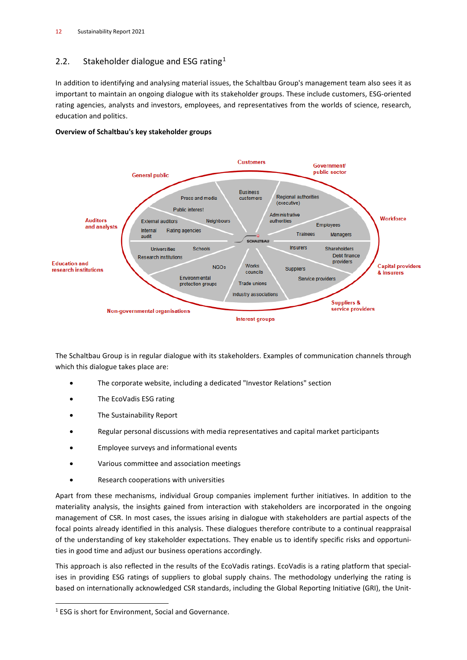# 2.2. Stakeholder dialogue and ESG rating<sup>[1](#page-11-0)</sup>

In addition to identifying and analysing material issues, the Schaltbau Group's management team also sees it as important to maintain an ongoing dialogue with its stakeholder groups. These include customers, ESG-oriented rating agencies, analysts and investors, employees, and representatives from the worlds of science, research, education and politics.





The Schaltbau Group is in regular dialogue with its stakeholders. Examples of communication channels through which this dialogue takes place are:

- The corporate website, including a dedicated "Investor Relations" section
- The EcoVadis ESG rating
- The Sustainability Report
- Regular personal discussions with media representatives and capital market participants
- Employee surveys and informational events
- Various committee and association meetings
- Research cooperations with universities

Apart from these mechanisms, individual Group companies implement further initiatives. In addition to the materiality analysis, the insights gained from interaction with stakeholders are incorporated in the ongoing management of CSR. In most cases, the issues arising in dialogue with stakeholders are partial aspects of the focal points already identified in this analysis. These dialogues therefore contribute to a continual reappraisal of the understanding of key stakeholder expectations. They enable us to identify specific risks and opportunities in good time and adjust our business operations accordingly.

This approach is also reflected in the results of the EcoVadis ratings. EcoVadis is a rating platform that specialises in providing ESG ratings of suppliers to global supply chains. The methodology underlying the rating is based on internationally acknowledged CSR standards, including the Global Reporting Initiative (GRI), the Unit-

<span id="page-11-0"></span><sup>&</sup>lt;sup>1</sup> ESG is short for Environment, Social and Governance.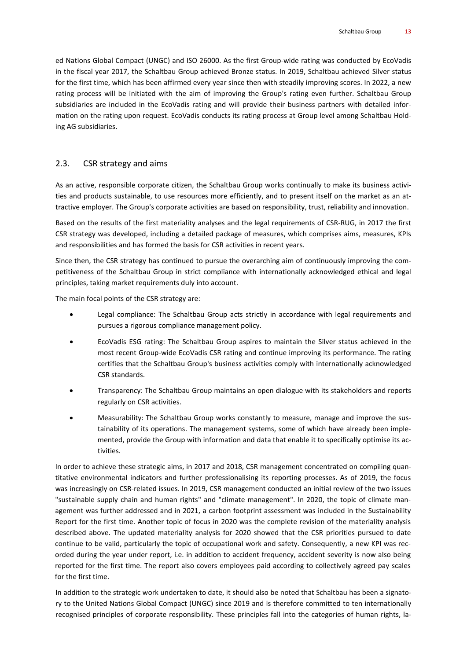ed Nations Global Compact (UNGC) and ISO 26000. As the first Group-wide rating was conducted by EcoVadis in the fiscal year 2017, the Schaltbau Group achieved Bronze status. In 2019, Schaltbau achieved Silver status for the first time, which has been affirmed every year since then with steadily improving scores. In 2022, a new rating process will be initiated with the aim of improving the Group's rating even further. Schaltbau Group subsidiaries are included in the EcoVadis rating and will provide their business partners with detailed information on the rating upon request. EcoVadis conducts its rating process at Group level among Schaltbau Holding AG subsidiaries.

## 2.3. CSR strategy and aims

As an active, responsible corporate citizen, the Schaltbau Group works continually to make its business activities and products sustainable, to use resources more efficiently, and to present itself on the market as an attractive employer. The Group's corporate activities are based on responsibility, trust, reliability and innovation.

Based on the results of the first materiality analyses and the legal requirements of CSR-RUG, in 2017 the first CSR strategy was developed, including a detailed package of measures, which comprises aims, measures, KPIs and responsibilities and has formed the basis for CSR activities in recent years.

Since then, the CSR strategy has continued to pursue the overarching aim of continuously improving the competitiveness of the Schaltbau Group in strict compliance with internationally acknowledged ethical and legal principles, taking market requirements duly into account.

The main focal points of the CSR strategy are:

- Legal compliance: The Schaltbau Group acts strictly in accordance with legal requirements and pursues a rigorous compliance management policy.
- EcoVadis ESG rating: The Schaltbau Group aspires to maintain the Silver status achieved in the most recent Group-wide EcoVadis CSR rating and continue improving its performance. The rating certifies that the Schaltbau Group's business activities comply with internationally acknowledged CSR standards.
- Transparency: The Schaltbau Group maintains an open dialogue with its stakeholders and reports regularly on CSR activities.
- Measurability: The Schaltbau Group works constantly to measure, manage and improve the sustainability of its operations. The management systems, some of which have already been implemented, provide the Group with information and data that enable it to specifically optimise its activities.

In order to achieve these strategic aims, in 2017 and 2018, CSR management concentrated on compiling quantitative environmental indicators and further professionalising its reporting processes. As of 2019, the focus was increasingly on CSR-related issues. In 2019, CSR management conducted an initial review of the two issues "sustainable supply chain and human rights" and "climate management". In 2020, the topic of climate management was further addressed and in 2021, a carbon footprint assessment was included in the Sustainability Report for the first time. Another topic of focus in 2020 was the complete revision of the materiality analysis described above. The updated materiality analysis for 2020 showed that the CSR priorities pursued to date continue to be valid, particularly the topic of occupational work and safety. Consequently, a new KPI was recorded during the year under report, i.e. in addition to accident frequency, accident severity is now also being reported for the first time. The report also covers employees paid according to collectively agreed pay scales for the first time.

In addition to the strategic work undertaken to date, it should also be noted that Schaltbau has been a signatory to the United Nations Global Compact (UNGC) since 2019 and is therefore committed to ten internationally recognised principles of corporate responsibility. These principles fall into the categories of human rights, la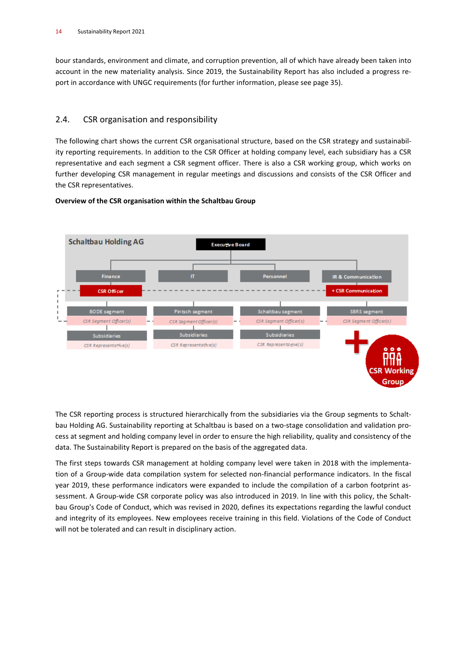bour standards, environment and climate, and corruption prevention, all of which have already been taken into account in the new materiality analysis. Since 2019, the Sustainability Report has also included a progress report in accordance with UNGC requirements (for further information, please see page 35).

# 2.4. CSR organisation and responsibility

The following chart shows the current CSR organisational structure, based on the CSR strategy and sustainability reporting requirements. In addition to the CSR Officer at holding company level, each subsidiary has a CSR representative and each segment a CSR segment officer. There is also a CSR working group, which works on further developing CSR management in regular meetings and discussions and consists of the CSR Officer and the CSR representatives.



## **Overview of the CSR organisation within the Schaltbau Group**

The CSR reporting process is structured hierarchically from the subsidiaries via the Group segments to Schaltbau Holding AG. Sustainability reporting at Schaltbau is based on a two-stage consolidation and validation process at segment and holding company level in order to ensure the high reliability, quality and consistency of the data. The Sustainability Report is prepared on the basis of the aggregated data.

The first steps towards CSR management at holding company level were taken in 2018 with the implementation of a Group-wide data compilation system for selected non-financial performance indicators. In the fiscal year 2019, these performance indicators were expanded to include the compilation of a carbon footprint assessment. A Group-wide CSR corporate policy was also introduced in 2019. In line with this policy, the Schaltbau Group's Code of Conduct, which was revised in 2020, defines its expectations regarding the lawful conduct and integrity of its employees. New employees receive training in this field. Violations of the Code of Conduct will not be tolerated and can result in disciplinary action.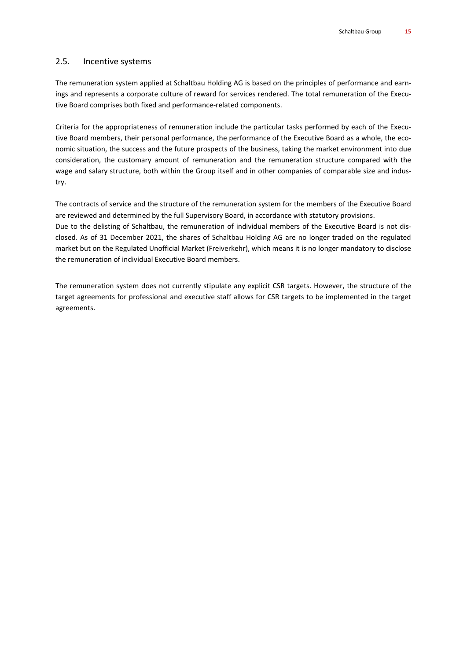## 2.5. Incentive systems

The remuneration system applied at Schaltbau Holding AG is based on the principles of performance and earnings and represents a corporate culture of reward for services rendered. The total remuneration of the Executive Board comprises both fixed and performance-related components.

Criteria for the appropriateness of remuneration include the particular tasks performed by each of the Executive Board members, their personal performance, the performance of the Executive Board as a whole, the economic situation, the success and the future prospects of the business, taking the market environment into due consideration, the customary amount of remuneration and the remuneration structure compared with the wage and salary structure, both within the Group itself and in other companies of comparable size and industry.

The contracts of service and the structure of the remuneration system for the members of the Executive Board are reviewed and determined by the full Supervisory Board, in accordance with statutory provisions. Due to the delisting of Schaltbau, the remuneration of individual members of the Executive Board is not disclosed. As of 31 December 2021, the shares of Schaltbau Holding AG are no longer traded on the regulated market but on the Regulated Unofficial Market (Freiverkehr), which means it is no longer mandatory to disclose the remuneration of individual Executive Board members.

The remuneration system does not currently stipulate any explicit CSR targets. However, the structure of the target agreements for professional and executive staff allows for CSR targets to be implemented in the target agreements.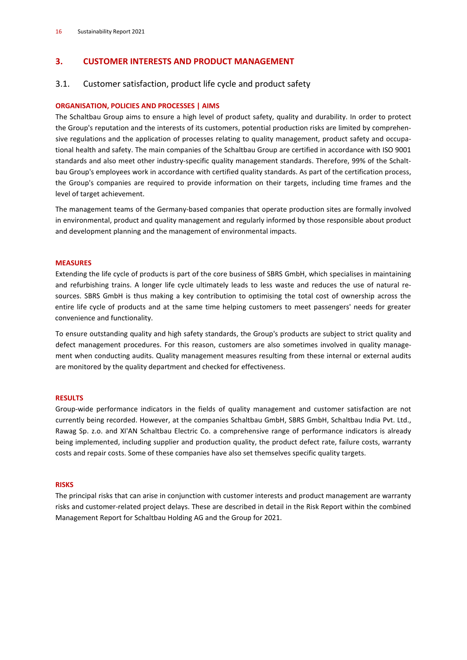## **3. CUSTOMER INTERESTS AND PRODUCT MANAGEMENT**

## 3.1. Customer satisfaction, product life cycle and product safety

## **ORGANISATION, POLICIES AND PROCESSES | AIMS**

The Schaltbau Group aims to ensure a high level of product safety, quality and durability. In order to protect the Group's reputation and the interests of its customers, potential production risks are limited by comprehensive regulations and the application of processes relating to quality management, product safety and occupational health and safety. The main companies of the Schaltbau Group are certified in accordance with ISO 9001 standards and also meet other industry-specific quality management standards. Therefore, 99% of the Schaltbau Group's employees work in accordance with certified quality standards. As part of the certification process, the Group's companies are required to provide information on their targets, including time frames and the level of target achievement.

The management teams of the Germany-based companies that operate production sites are formally involved in environmental, product and quality management and regularly informed by those responsible about product and development planning and the management of environmental impacts.

#### **MEASURES**

Extending the life cycle of products is part of the core business of SBRS GmbH, which specialises in maintaining and refurbishing trains. A longer life cycle ultimately leads to less waste and reduces the use of natural resources. SBRS GmbH is thus making a key contribution to optimising the total cost of ownership across the entire life cycle of products and at the same time helping customers to meet passengers' needs for greater convenience and functionality.

To ensure outstanding quality and high safety standards, the Group's products are subject to strict quality and defect management procedures. For this reason, customers are also sometimes involved in quality management when conducting audits. Quality management measures resulting from these internal or external audits are monitored by the quality department and checked for effectiveness.

#### **RESULTS**

Group-wide performance indicators in the fields of quality management and customer satisfaction are not currently being recorded. However, at the companies Schaltbau GmbH, SBRS GmbH, Schaltbau India Pvt. Ltd., Rawag Sp. z.o. and XI'AN Schaltbau Electric Co. a comprehensive range of performance indicators is already being implemented, including supplier and production quality, the product defect rate, failure costs, warranty costs and repair costs. Some of these companies have also set themselves specific quality targets.

#### **RISKS**

The principal risks that can arise in conjunction with customer interests and product management are warranty risks and customer-related project delays. These are described in detail in the Risk Report within the combined Management Report for Schaltbau Holding AG and the Group for 2021.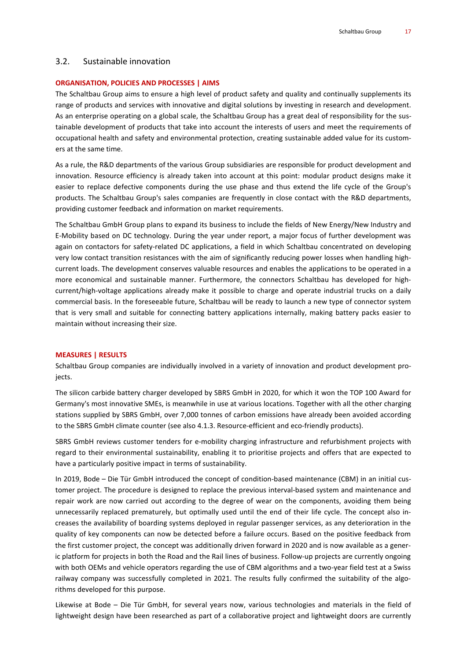#### 3.2. Sustainable innovation

#### **ORGANISATION, POLICIES AND PROCESSES | AIMS**

The Schaltbau Group aims to ensure a high level of product safety and quality and continually supplements its range of products and services with innovative and digital solutions by investing in research and development. As an enterprise operating on a global scale, the Schaltbau Group has a great deal of responsibility for the sustainable development of products that take into account the interests of users and meet the requirements of occupational health and safety and environmental protection, creating sustainable added value for its customers at the same time.

As a rule, the R&D departments of the various Group subsidiaries are responsible for product development and innovation. Resource efficiency is already taken into account at this point: modular product designs make it easier to replace defective components during the use phase and thus extend the life cycle of the Group's products. The Schaltbau Group's sales companies are frequently in close contact with the R&D departments, providing customer feedback and information on market requirements.

The Schaltbau GmbH Group plans to expand its business to include the fields of New Energy/New Industry and E-Mobility based on DC technology. During the year under report, a major focus of further development was again on contactors for safety-related DC applications, a field in which Schaltbau concentrated on developing very low contact transition resistances with the aim of significantly reducing power losses when handling highcurrent loads. The development conserves valuable resources and enables the applications to be operated in a more economical and sustainable manner. Furthermore, the connectors Schaltbau has developed for highcurrent/high-voltage applications already make it possible to charge and operate industrial trucks on a daily commercial basis. In the foreseeable future, Schaltbau will be ready to launch a new type of connector system that is very small and suitable for connecting battery applications internally, making battery packs easier to maintain without increasing their size.

#### **MEASURES | RESULTS**

Schaltbau Group companies are individually involved in a variety of innovation and product development projects.

The silicon carbide battery charger developed by SBRS GmbH in 2020, for which it won the TOP 100 Award for Germany's most innovative SMEs, is meanwhile in use at various locations. Together with all the other charging stations supplied by SBRS GmbH, over 7,000 tonnes of carbon emissions have already been avoided according to the SBRS GmbH climate counter (see also 4.1.3. Resource-efficient and eco-friendly products).

SBRS GmbH reviews customer tenders for e-mobility charging infrastructure and refurbishment projects with regard to their environmental sustainability, enabling it to prioritise projects and offers that are expected to have a particularly positive impact in terms of sustainability.

In 2019, Bode – Die Tür GmbH introduced the concept of condition-based maintenance (CBM) in an initial customer project. The procedure is designed to replace the previous interval-based system and maintenance and repair work are now carried out according to the degree of wear on the components, avoiding them being unnecessarily replaced prematurely, but optimally used until the end of their life cycle. The concept also increases the availability of boarding systems deployed in regular passenger services, as any deterioration in the quality of key components can now be detected before a failure occurs. Based on the positive feedback from the first customer project, the concept was additionally driven forward in 2020 and is now available as a generic platform for projects in both the Road and the Rail lines of business. Follow-up projects are currently ongoing with both OEMs and vehicle operators regarding the use of CBM algorithms and a two-year field test at a Swiss railway company was successfully completed in 2021. The results fully confirmed the suitability of the algorithms developed for this purpose.

Likewise at Bode – Die Tür GmbH, for several years now, various technologies and materials in the field of lightweight design have been researched as part of a collaborative project and lightweight doors are currently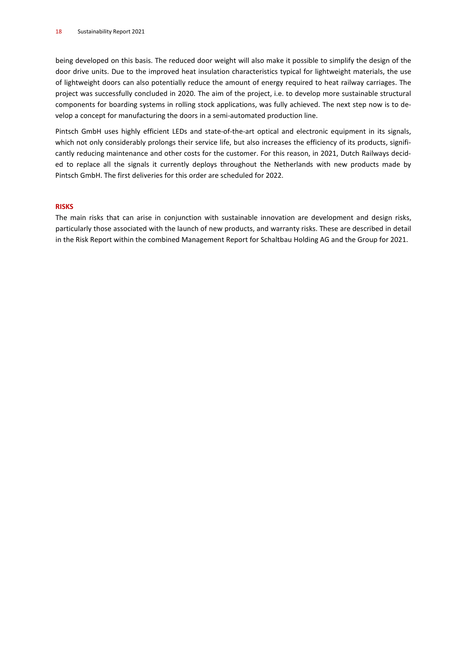being developed on this basis. The reduced door weight will also make it possible to simplify the design of the door drive units. Due to the improved heat insulation characteristics typical for lightweight materials, the use of lightweight doors can also potentially reduce the amount of energy required to heat railway carriages. The project was successfully concluded in 2020. The aim of the project, i.e. to develop more sustainable structural components for boarding systems in rolling stock applications, was fully achieved. The next step now is to develop a concept for manufacturing the doors in a semi-automated production line.

Pintsch GmbH uses highly efficient LEDs and state-of-the-art optical and electronic equipment in its signals, which not only considerably prolongs their service life, but also increases the efficiency of its products, significantly reducing maintenance and other costs for the customer. For this reason, in 2021, Dutch Railways decided to replace all the signals it currently deploys throughout the Netherlands with new products made by Pintsch GmbH. The first deliveries for this order are scheduled for 2022.

#### **RISKS**

The main risks that can arise in conjunction with sustainable innovation are development and design risks, particularly those associated with the launch of new products, and warranty risks. These are described in detail in the Risk Report within the combined Management Report for Schaltbau Holding AG and the Group for 2021.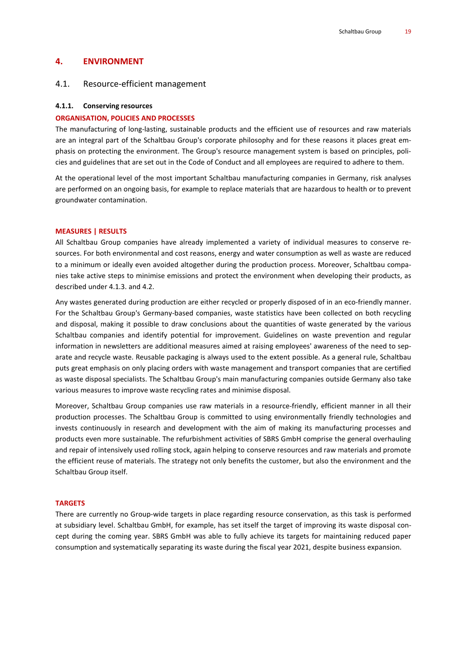#### **4. ENVIRONMENT**

#### 4.1. Resource-efficient management

#### **4.1.1. Conserving resources**

#### **ORGANISATION, POLICIES AND PROCESSES**

The manufacturing of long-lasting, sustainable products and the efficient use of resources and raw materials are an integral part of the Schaltbau Group's corporate philosophy and for these reasons it places great emphasis on protecting the environment. The Group's resource management system is based on principles, policies and guidelines that are set out in the Code of Conduct and all employees are required to adhere to them.

At the operational level of the most important Schaltbau manufacturing companies in Germany, risk analyses are performed on an ongoing basis, for example to replace materials that are hazardous to health or to prevent groundwater contamination.

#### **MEASURES | RESULTS**

All Schaltbau Group companies have already implemented a variety of individual measures to conserve resources. For both environmental and cost reasons, energy and water consumption as well as waste are reduced to a minimum or ideally even avoided altogether during the production process. Moreover, Schaltbau companies take active steps to minimise emissions and protect the environment when developing their products, as described under 4.1.3. and 4.2.

Any wastes generated during production are either recycled or properly disposed of in an eco-friendly manner. For the Schaltbau Group's Germany-based companies, waste statistics have been collected on both recycling and disposal, making it possible to draw conclusions about the quantities of waste generated by the various Schaltbau companies and identify potential for improvement. Guidelines on waste prevention and regular information in newsletters are additional measures aimed at raising employees' awareness of the need to separate and recycle waste. Reusable packaging is always used to the extent possible. As a general rule, Schaltbau puts great emphasis on only placing orders with waste management and transport companies that are certified as waste disposal specialists. The Schaltbau Group's main manufacturing companies outside Germany also take various measures to improve waste recycling rates and minimise disposal.

Moreover, Schaltbau Group companies use raw materials in a resource-friendly, efficient manner in all their production processes. The Schaltbau Group is committed to using environmentally friendly technologies and invests continuously in research and development with the aim of making its manufacturing processes and products even more sustainable. The refurbishment activities of SBRS GmbH comprise the general overhauling and repair of intensively used rolling stock, again helping to conserve resources and raw materials and promote the efficient reuse of materials. The strategy not only benefits the customer, but also the environment and the Schaltbau Group itself.

#### **TARGETS**

There are currently no Group-wide targets in place regarding resource conservation, as this task is performed at subsidiary level. Schaltbau GmbH, for example, has set itself the target of improving its waste disposal concept during the coming year. SBRS GmbH was able to fully achieve its targets for maintaining reduced paper consumption and systematically separating its waste during the fiscal year 2021, despite business expansion.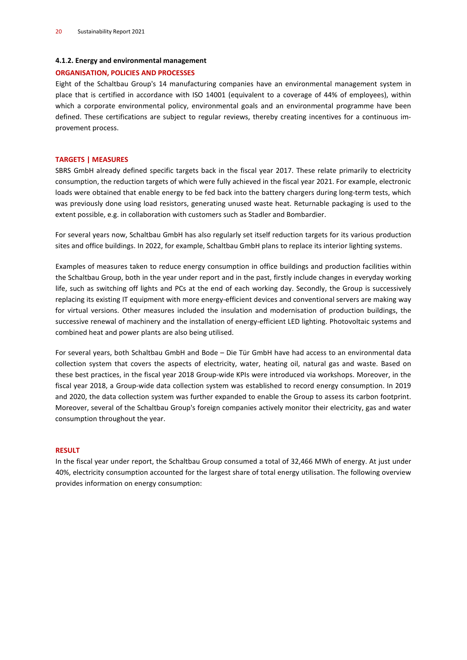#### **4.1**.**2. Energy and environmental management**

#### **ORGANISATION, POLICIES AND PROCESSES**

Eight of the Schaltbau Group's 14 manufacturing companies have an environmental management system in place that is certified in accordance with ISO 14001 (equivalent to a coverage of 44% of employees), within which a corporate environmental policy, environmental goals and an environmental programme have been defined. These certifications are subject to regular reviews, thereby creating incentives for a continuous improvement process.

#### **TARGETS | MEASURES**

SBRS GmbH already defined specific targets back in the fiscal year 2017. These relate primarily to electricity consumption, the reduction targets of which were fully achieved in the fiscal year 2021. For example, electronic loads were obtained that enable energy to be fed back into the battery chargers during long-term tests, which was previously done using load resistors, generating unused waste heat. Returnable packaging is used to the extent possible, e.g. in collaboration with customers such as Stadler and Bombardier.

For several years now, Schaltbau GmbH has also regularly set itself reduction targets for its various production sites and office buildings. In 2022, for example, Schaltbau GmbH plans to replace its interior lighting systems.

Examples of measures taken to reduce energy consumption in office buildings and production facilities within the Schaltbau Group, both in the year under report and in the past, firstly include changes in everyday working life, such as switching off lights and PCs at the end of each working day. Secondly, the Group is successively replacing its existing IT equipment with more energy-efficient devices and conventional servers are making way for virtual versions. Other measures included the insulation and modernisation of production buildings, the successive renewal of machinery and the installation of energy-efficient LED lighting. Photovoltaic systems and combined heat and power plants are also being utilised.

For several years, both Schaltbau GmbH and Bode – Die Tür GmbH have had access to an environmental data collection system that covers the aspects of electricity, water, heating oil, natural gas and waste. Based on these best practices, in the fiscal year 2018 Group-wide KPIs were introduced via workshops. Moreover, in the fiscal year 2018, a Group-wide data collection system was established to record energy consumption. In 2019 and 2020, the data collection system was further expanded to enable the Group to assess its carbon footprint. Moreover, several of the Schaltbau Group's foreign companies actively monitor their electricity, gas and water consumption throughout the year.

#### **RESULT**

In the fiscal year under report, the Schaltbau Group consumed a total of 32,466 MWh of energy. At just under 40%, electricity consumption accounted for the largest share of total energy utilisation. The following overview provides information on energy consumption: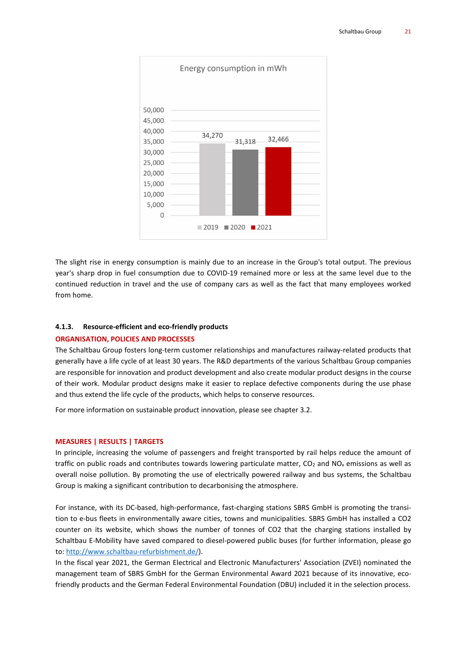

The slight rise in energy consumption is mainly due to an increase in the Group's total output. The previous year's sharp drop in fuel consumption due to COVID-19 remained more or less at the same level due to the continued reduction in travel and the use of company cars as well as the fact that many employees worked from home.

#### **4.1.3. Resource-efficient and eco-friendly products**

#### **ORGANISATION, POLICIES AND PROCESSES**

The Schaltbau Group fosters long-term customer relationships and manufactures railway-related products that generally have a life cycle of at least 30 years. The R&D departments of the various Schaltbau Group companies are responsible for innovation and product development and also create modular product designs in the course of their work. Modular product designs make it easier to replace defective components during the use phase and thus extend the life cycle of the products, which helps to conserve resources.

For more information on sustainable product innovation, please see chapter 3.2.

#### **MEASURES | RESULTS | TARGETS**

In principle, increasing the volume of passengers and freight transported by rail helps reduce the amount of traffic on public roads and contributes towards lowering particulate matter,  $CO<sub>2</sub>$  and NO<sub>x</sub> emissions as well as overall noise pollution. By promoting the use of electrically powered railway and bus systems, the Schaltbau Group is making a significant contribution to decarbonising the atmosphere.

For instance, with its DC-based, high-performance, fast-charging stations SBRS GmbH is promoting the transition to e-bus fleets in environmentally aware cities, towns and municipalities. SBRS GmbH has installed a CO2 counter on its website, which shows the number of tonnes of CO2 that the charging stations installed by Schaltbau E-Mobility have saved compared to diesel-powered public buses (for further information, please go to: [http://www.schaltbau-refurbishment.de/\)](http://www.schaltbau-refurbishment.de/).

In the fiscal year 2021, the German Electrical and Electronic Manufacturers' Association (ZVEI) nominated the management team of SBRS GmbH for the German Environmental Award 2021 because of its innovative, ecofriendly products and the German Federal Environmental Foundation (DBU) included it in the selection process.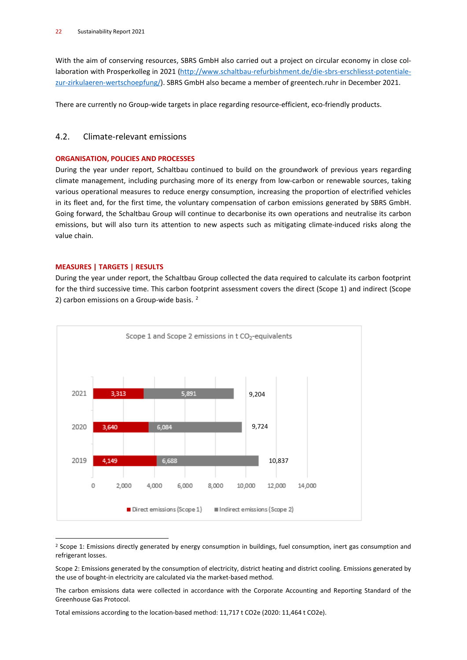With the aim of conserving resources, SBRS GmbH also carried out a project on circular economy in close collaboration with Prosperkolleg in 2021 [\(http://www.schaltbau-refurbishment.de/die-sbrs-erschliesst-potentiale](http://www.schaltbau-refurbishment.de/die-sbrs-erschliesst-potentiale-zur-zirkulaeren-wertschoepfung/#_blank)[zur-zirkulaeren-wertschoepfung/\)](http://www.schaltbau-refurbishment.de/die-sbrs-erschliesst-potentiale-zur-zirkulaeren-wertschoepfung/#_blank). SBRS GmbH also became a member of greentech.ruhr in December 2021.

There are currently no Group-wide targets in place regarding resource-efficient, eco-friendly products.

## 4.2. Climate-relevant emissions

#### **ORGANISATION, POLICIES AND PROCESSES**

During the year under report, Schaltbau continued to build on the groundwork of previous years regarding climate management, including purchasing more of its energy from low-carbon or renewable sources, taking various operational measures to reduce energy consumption, increasing the proportion of electrified vehicles in its fleet and, for the first time, the voluntary compensation of carbon emissions generated by SBRS GmbH. Going forward, the Schaltbau Group will continue to decarbonise its own operations and neutralise its carbon emissions, but will also turn its attention to new aspects such as mitigating climate-induced risks along the value chain.

## **MEASURES | TARGETS | RESULTS**

During the year under report, the Schaltbau Group collected the data required to calculate its carbon footprint for the third successive time. This carbon footprint assessment covers the direct (Scope 1) and indirect (Scope [2](#page-21-0)) carbon emissions on a Group-wide basis.<sup>2</sup>



<span id="page-21-0"></span> $2$  Scope 1: Emissions directly generated by energy consumption in buildings, fuel consumption, inert gas consumption and refrigerant losses.

Scope 2: Emissions generated by the consumption of electricity, district heating and district cooling. Emissions generated by the use of bought-in electricity are calculated via the market-based method.

The carbon emissions data were collected in accordance with the Corporate Accounting and Reporting Standard of the Greenhouse Gas Protocol.

Total emissions according to the location-based method: 11,717 t CO2e (2020: 11,464 t CO2e).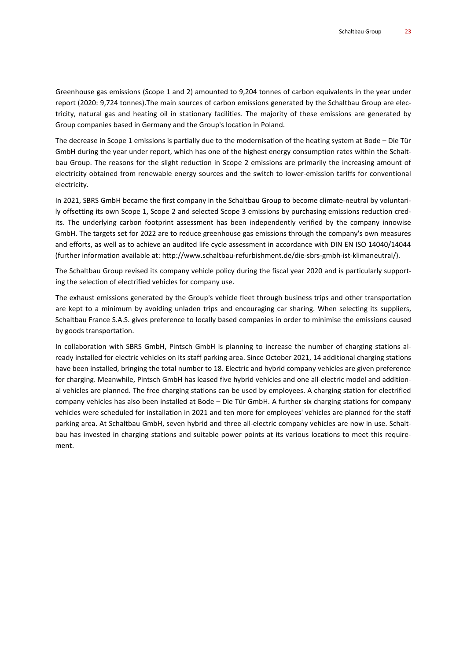Greenhouse gas emissions (Scope 1 and 2) amounted to 9,204 tonnes of carbon equivalents in the year under report (2020: 9,724 tonnes).The main sources of carbon emissions generated by the Schaltbau Group are electricity, natural gas and heating oil in stationary facilities. The majority of these emissions are generated by Group companies based in Germany and the Group's location in Poland.

The decrease in Scope 1 emissions is partially due to the modernisation of the heating system at Bode – Die Tür GmbH during the year under report, which has one of the highest energy consumption rates within the Schaltbau Group. The reasons for the slight reduction in Scope 2 emissions are primarily the increasing amount of electricity obtained from renewable energy sources and the switch to lower-emission tariffs for conventional electricity.

In 2021, SBRS GmbH became the first company in the Schaltbau Group to become climate-neutral by voluntarily offsetting its own Scope 1, Scope 2 and selected Scope 3 emissions by purchasing emissions reduction credits. The underlying carbon footprint assessment has been independently verified by the company innowise GmbH. The targets set for 2022 are to reduce greenhouse gas emissions through the company's own measures and efforts, as well as to achieve an audited life cycle assessment in accordance with DIN EN ISO 14040/14044 (further information available at: [http://www.schaltbau-refurbishment.de/die-sbrs-gmbh-ist-klimaneutral/\)](http://www.schaltbau-refurbishment.de/die-sbrs-gmbh-ist-klimaneutral/#_blank).

The Schaltbau Group revised its company vehicle policy during the fiscal year 2020 and is particularly supporting the selection of electrified vehicles for company use.

The exhaust emissions generated by the Group's vehicle fleet through business trips and other transportation are kept to a minimum by avoiding unladen trips and encouraging car sharing. When selecting its suppliers, Schaltbau France S.A.S. gives preference to locally based companies in order to minimise the emissions caused by goods transportation.

In collaboration with SBRS GmbH, Pintsch GmbH is planning to increase the number of charging stations already installed for electric vehicles on its staff parking area. Since October 2021, 14 additional charging stations have been installed, bringing the total number to 18. Electric and hybrid company vehicles are given preference for charging. Meanwhile, Pintsch GmbH has leased five hybrid vehicles and one all-electric model and additional vehicles are planned. The free charging stations can be used by employees. A charging station for electrified company vehicles has also been installed at Bode – Die Tür GmbH. A further six charging stations for company vehicles were scheduled for installation in 2021 and ten more for employees' vehicles are planned for the staff parking area. At Schaltbau GmbH, seven hybrid and three all-electric company vehicles are now in use. Schaltbau has invested in charging stations and suitable power points at its various locations to meet this requirement.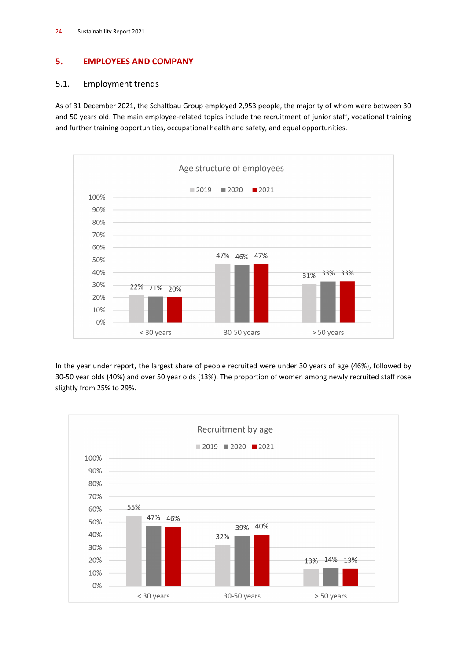## **5. EMPLOYEES AND COMPANY**

## 5.1. Employment trends

As of 31 December 2021, the Schaltbau Group employed 2,953 people, the majority of whom were between 30 and 50 years old. The main employee-related topics include the recruitment of junior staff, vocational training and further training opportunities, occupational health and safety, and equal opportunities.



In the year under report, the largest share of people recruited were under 30 years of age (46%), followed by 30-50 year olds (40%) and over 50 year olds (13%). The proportion of women among newly recruited staff rose slightly from 25% to 29%.

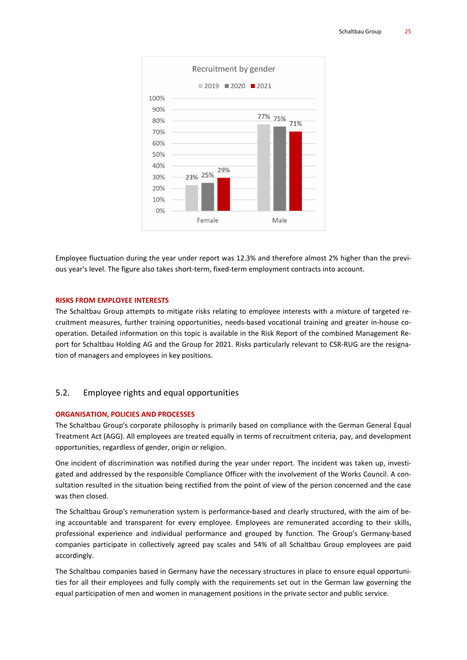

Employee fluctuation during the year under report was 12.3% and therefore almost 2% higher than the previous year's level. The figure also takes short-term, fixed-term employment contracts into account.

#### **RISKS FROM EMPLOYEE INTERESTS**

The Schaltbau Group attempts to mitigate risks relating to employee interests with a mixture of targeted recruitment measures, further training opportunities, needs-based vocational training and greater in-house cooperation. Detailed information on this topic is available in the Risk Report of the combined Management Report for Schaltbau Holding AG and the Group for 2021. Risks particularly relevant to CSR-RUG are the resignation of managers and employees in key positions.

## 5.2. Employee rights and equal opportunities

#### **ORGANISATION, POLICIES AND PROCESSES**

The Schaltbau Group's corporate philosophy is primarily based on compliance with the German General Equal Treatment Act (AGG). All employees are treated equally in terms of recruitment criteria, pay, and development opportunities, regardless of gender, origin or religion.

One incident of discrimination was notified during the year under report. The incident was taken up, investigated and addressed by the responsible Compliance Officer with the involvement of the Works Council. A consultation resulted in the situation being rectified from the point of view of the person concerned and the case was then closed.

The Schaltbau Group's remuneration system is performance-based and clearly structured, with the aim of being accountable and transparent for every employee. Employees are remunerated according to their skills, professional experience and individual performance and grouped by function. The Group's Germany-based companies participate in collectively agreed pay scales and 54% of all Schaltbau Group employees are paid accordingly.

The Schaltbau companies based in Germany have the necessary structures in place to ensure equal opportunities for all their employees and fully comply with the requirements set out in the German law governing the equal participation of men and women in management positions in the private sector and public service.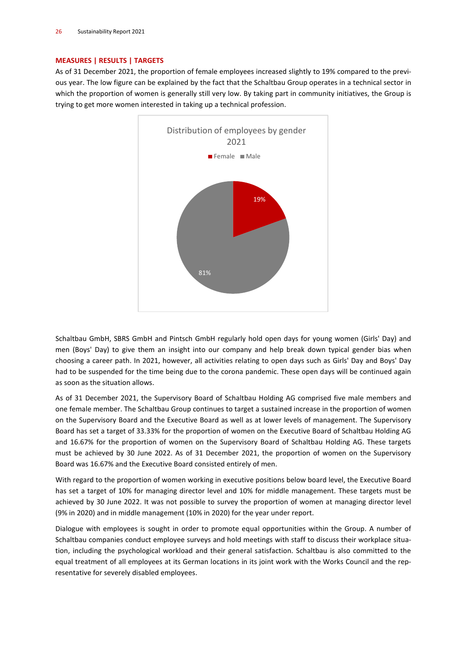#### **MEASURES | RESULTS | TARGETS**

As of 31 December 2021, the proportion of female employees increased slightly to 19% compared to the previous year. The low figure can be explained by the fact that the Schaltbau Group operates in a technical sector in which the proportion of women is generally still very low. By taking part in community initiatives, the Group is trying to get more women interested in taking up a technical profession.



Schaltbau GmbH, SBRS GmbH and Pintsch GmbH regularly hold open days for young women (Girls' Day) and men (Boys' Day) to give them an insight into our company and help break down typical gender bias when choosing a career path. In 2021, however, all activities relating to open days such as Girls' Day and Boys' Day had to be suspended for the time being due to the corona pandemic. These open days will be continued again as soon as the situation allows.

As of 31 December 2021, the Supervisory Board of Schaltbau Holding AG comprised five male members and one female member. The Schaltbau Group continues to target a sustained increase in the proportion of women on the Supervisory Board and the Executive Board as well as at lower levels of management. The Supervisory Board has set a target of 33.33% for the proportion of women on the Executive Board of Schaltbau Holding AG and 16.67% for the proportion of women on the Supervisory Board of Schaltbau Holding AG. These targets must be achieved by 30 June 2022. As of 31 December 2021, the proportion of women on the Supervisory Board was 16.67% and the Executive Board consisted entirely of men.

With regard to the proportion of women working in executive positions below board level, the Executive Board has set a target of 10% for managing director level and 10% for middle management. These targets must be achieved by 30 June 2022. It was not possible to survey the proportion of women at managing director level (9% in 2020) and in middle management (10% in 2020) for the year under report.

Dialogue with employees is sought in order to promote equal opportunities within the Group. A number of Schaltbau companies conduct employee surveys and hold meetings with staff to discuss their workplace situation, including the psychological workload and their general satisfaction. Schaltbau is also committed to the equal treatment of all employees at its German locations in its joint work with the Works Council and the representative for severely disabled employees.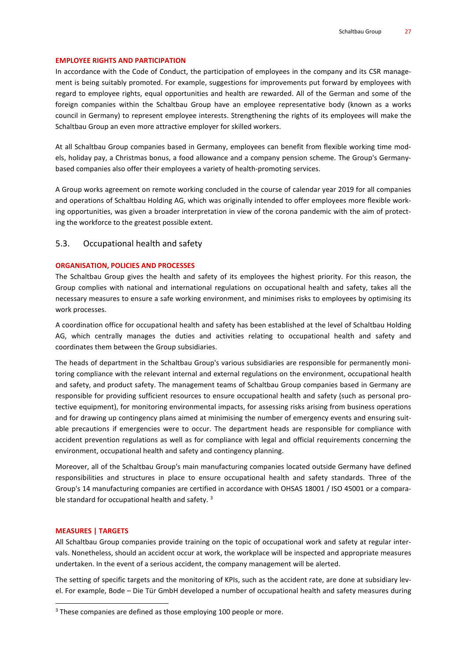#### **EMPLOYEE RIGHTS AND PARTICIPATION**

In accordance with the Code of Conduct, the participation of employees in the company and its CSR management is being suitably promoted. For example, suggestions for improvements put forward by employees with regard to employee rights, equal opportunities and health are rewarded. All of the German and some of the foreign companies within the Schaltbau Group have an employee representative body (known as a works council in Germany) to represent employee interests. Strengthening the rights of its employees will make the Schaltbau Group an even more attractive employer for skilled workers.

At all Schaltbau Group companies based in Germany, employees can benefit from flexible working time models, holiday pay, a Christmas bonus, a food allowance and a company pension scheme. The Group's Germanybased companies also offer their employees a variety of health-promoting services.

A Group works agreement on remote working concluded in the course of calendar year 2019 for all companies and operations of Schaltbau Holding AG, which was originally intended to offer employees more flexible working opportunities, was given a broader interpretation in view of the corona pandemic with the aim of protecting the workforce to the greatest possible extent.

#### 5.3. Occupational health and safety

#### **ORGANISATION, POLICIES AND PROCESSES**

The Schaltbau Group gives the health and safety of its employees the highest priority. For this reason, the Group complies with national and international regulations on occupational health and safety, takes all the necessary measures to ensure a safe working environment, and minimises risks to employees by optimising its work processes.

A coordination office for occupational health and safety has been established at the level of Schaltbau Holding AG, which centrally manages the duties and activities relating to occupational health and safety and coordinates them between the Group subsidiaries.

The heads of department in the Schaltbau Group's various subsidiaries are responsible for permanently monitoring compliance with the relevant internal and external regulations on the environment, occupational health and safety, and product safety. The management teams of Schaltbau Group companies based in Germany are responsible for providing sufficient resources to ensure occupational health and safety (such as personal protective equipment), for monitoring environmental impacts, for assessing risks arising from business operations and for drawing up contingency plans aimed at minimising the number of emergency events and ensuring suitable precautions if emergencies were to occur. The department heads are responsible for compliance with accident prevention regulations as well as for compliance with legal and official requirements concerning the environment, occupational health and safety and contingency planning.

Moreover, all of the Schaltbau Group's main manufacturing companies located outside Germany have defined responsibilities and structures in place to ensure occupational health and safety standards. Three of the Group's 14 manufacturing companies are certified in accordance with OHSAS 18001 / ISO 45001 or a compara-ble standard for occupational health and safety.<sup>[3](#page-26-0)</sup>

#### **MEASURES | TARGETS**

All Schaltbau Group companies provide training on the topic of occupational work and safety at regular intervals. Nonetheless, should an accident occur at work, the workplace will be inspected and appropriate measures undertaken. In the event of a serious accident, the company management will be alerted.

The setting of specific targets and the monitoring of KPIs, such as the accident rate, are done at subsidiary level. For example, Bode – Die Tür GmbH developed a number of occupational health and safety measures during

<span id="page-26-0"></span><sup>&</sup>lt;sup>3</sup> These companies are defined as those employing 100 people or more.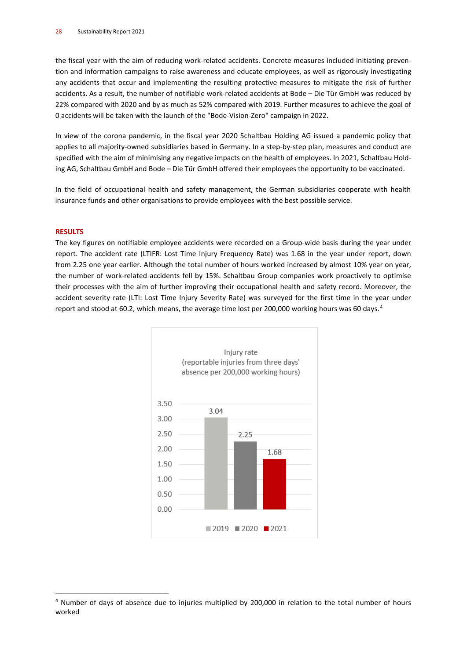the fiscal year with the aim of reducing work-related accidents. Concrete measures included initiating prevention and information campaigns to raise awareness and educate employees, as well as rigorously investigating any accidents that occur and implementing the resulting protective measures to mitigate the risk of further accidents. As a result, the number of notifiable work-related accidents at Bode – Die Tür GmbH was reduced by 22% compared with 2020 and by as much as 52% compared with 2019. Further measures to achieve the goal of 0 accidents will be taken with the launch of the "Bode-Vision-Zero" campaign in 2022.

In view of the corona pandemic, in the fiscal year 2020 Schaltbau Holding AG issued a pandemic policy that applies to all majority-owned subsidiaries based in Germany. In a step-by-step plan, measures and conduct are specified with the aim of minimising any negative impacts on the health of employees. In 2021, Schaltbau Holding AG, Schaltbau GmbH and Bode – Die Tür GmbH offered their employees the opportunity to be vaccinated.

In the field of occupational health and safety management, the German subsidiaries cooperate with health insurance funds and other organisations to provide employees with the best possible service.

#### **RESULTS**

The key figures on notifiable employee accidents were recorded on a Group-wide basis during the year under report. The accident rate (LTIFR: Lost Time Injury Frequency Rate) was 1.68 in the year under report, down from 2.25 one year earlier. Although the total number of hours worked increased by almost 10% year on year, the number of work-related accidents fell by 15%. Schaltbau Group companies work proactively to optimise their processes with the aim of further improving their occupational health and safety record. Moreover, the accident severity rate (LTI: Lost Time Injury Severity Rate) was surveyed for the first time in the year under report and stood at 60.2, which means, the average time lost per 200,000 working hours was 60 days.<sup>[4](#page-27-0)</sup>



<span id="page-27-0"></span><sup>4</sup> Number of days of absence due to injuries multiplied by 200,000 in relation to the total number of hours worked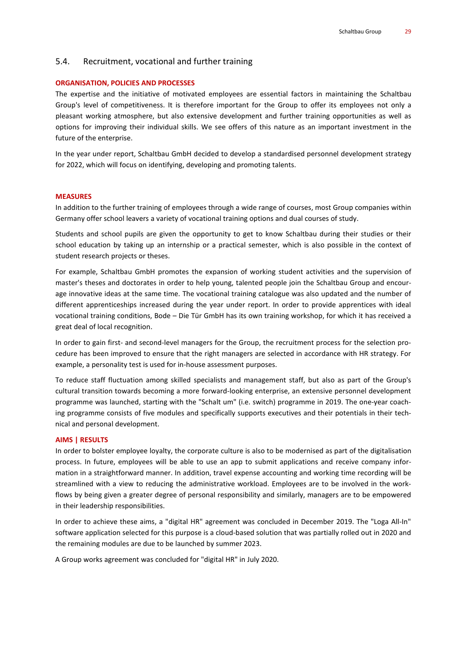#### 5.4. Recruitment, vocational and further training

#### **ORGANISATION, POLICIES AND PROCESSES**

The expertise and the initiative of motivated employees are essential factors in maintaining the Schaltbau Group's level of competitiveness. It is therefore important for the Group to offer its employees not only a pleasant working atmosphere, but also extensive development and further training opportunities as well as options for improving their individual skills. We see offers of this nature as an important investment in the future of the enterprise.

In the year under report, Schaltbau GmbH decided to develop a standardised personnel development strategy for 2022, which will focus on identifying, developing and promoting talents.

#### **MEASURES**

In addition to the further training of employees through a wide range of courses, most Group companies within Germany offer school leavers a variety of vocational training options and dual courses of study.

Students and school pupils are given the opportunity to get to know Schaltbau during their studies or their school education by taking up an internship or a practical semester, which is also possible in the context of student research projects or theses.

For example, Schaltbau GmbH promotes the expansion of working student activities and the supervision of master's theses and doctorates in order to help young, talented people join the Schaltbau Group and encourage innovative ideas at the same time. The vocational training catalogue was also updated and the number of different apprenticeships increased during the year under report. In order to provide apprentices with ideal vocational training conditions, Bode – Die Tür GmbH has its own training workshop, for which it has received a great deal of local recognition.

In order to gain first- and second-level managers for the Group, the recruitment process for the selection procedure has been improved to ensure that the right managers are selected in accordance with HR strategy. For example, a personality test is used for in-house assessment purposes.

To reduce staff fluctuation among skilled specialists and management staff, but also as part of the Group's cultural transition towards becoming a more forward-looking enterprise, an extensive personnel development programme was launched, starting with the "Schalt um" (i.e. switch) programme in 2019. The one-year coaching programme consists of five modules and specifically supports executives and their potentials in their technical and personal development.

#### **AIMS | RESULTS**

In order to bolster employee loyalty, the corporate culture is also to be modernised as part of the digitalisation process. In future, employees will be able to use an app to submit applications and receive company information in a straightforward manner. In addition, travel expense accounting and working time recording will be streamlined with a view to reducing the administrative workload. Employees are to be involved in the workflows by being given a greater degree of personal responsibility and similarly, managers are to be empowered in their leadership responsibilities.

In order to achieve these aims, a "digital HR" agreement was concluded in December 2019. The "Loga All-In" software application selected for this purpose is a cloud-based solution that was partially rolled out in 2020 and the remaining modules are due to be launched by summer 2023.

A Group works agreement was concluded for "digital HR" in July 2020.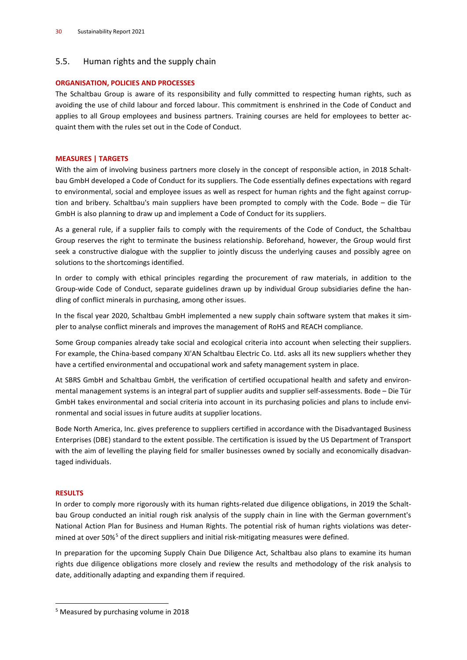## 5.5. Human rights and the supply chain

#### **ORGANISATION, POLICIES AND PROCESSES**

The Schaltbau Group is aware of its responsibility and fully committed to respecting human rights, such as avoiding the use of child labour and forced labour. This commitment is enshrined in the Code of Conduct and applies to all Group employees and business partners. Training courses are held for employees to better acquaint them with the rules set out in the Code of Conduct.

#### **MEASURES | TARGETS**

With the aim of involving business partners more closely in the concept of responsible action, in 2018 Schaltbau GmbH developed a Code of Conduct for its suppliers. The Code essentially defines expectations with regard to environmental, social and employee issues as well as respect for human rights and the fight against corruption and bribery. Schaltbau's main suppliers have been prompted to comply with the Code. Bode – die Tür GmbH is also planning to draw up and implement a Code of Conduct for its suppliers.

As a general rule, if a supplier fails to comply with the requirements of the Code of Conduct, the Schaltbau Group reserves the right to terminate the business relationship. Beforehand, however, the Group would first seek a constructive dialogue with the supplier to jointly discuss the underlying causes and possibly agree on solutions to the shortcomings identified.

In order to comply with ethical principles regarding the procurement of raw materials, in addition to the Group-wide Code of Conduct, separate guidelines drawn up by individual Group subsidiaries define the handling of conflict minerals in purchasing, among other issues.

In the fiscal year 2020, Schaltbau GmbH implemented a new supply chain software system that makes it simpler to analyse conflict minerals and improves the management of RoHS and REACH compliance.

Some Group companies already take social and ecological criteria into account when selecting their suppliers. For example, the China-based company XI'AN Schaltbau Electric Co. Ltd. asks all its new suppliers whether they have a certified environmental and occupational work and safety management system in place.

At SBRS GmbH and Schaltbau GmbH, the verification of certified occupational health and safety and environmental management systems is an integral part of supplier audits and supplier self-assessments. Bode – Die Tür GmbH takes environmental and social criteria into account in its purchasing policies and plans to include environmental and social issues in future audits at supplier locations.

Bode North America, Inc. gives preference to suppliers certified in accordance with the Disadvantaged Business Enterprises (DBE) standard to the extent possible. The certification is issued by the US Department of Transport with the aim of levelling the playing field for smaller businesses owned by socially and economically disadvantaged individuals.

#### **RESULTS**

In order to comply more rigorously with its human rights-related due diligence obligations, in 2019 the Schaltbau Group conducted an initial rough risk analysis of the supply chain in line with the German government's National Action Plan for Business and Human Rights. The potential risk of human rights violations was deter-mined at over [5](#page-29-0)0%<sup>5</sup> of the direct suppliers and initial risk-mitigating measures were defined.

In preparation for the upcoming Supply Chain Due Diligence Act, Schaltbau also plans to examine its human rights due diligence obligations more closely and review the results and methodology of the risk analysis to date, additionally adapting and expanding them if required.

<span id="page-29-0"></span><sup>5</sup> Measured by purchasing volume in 2018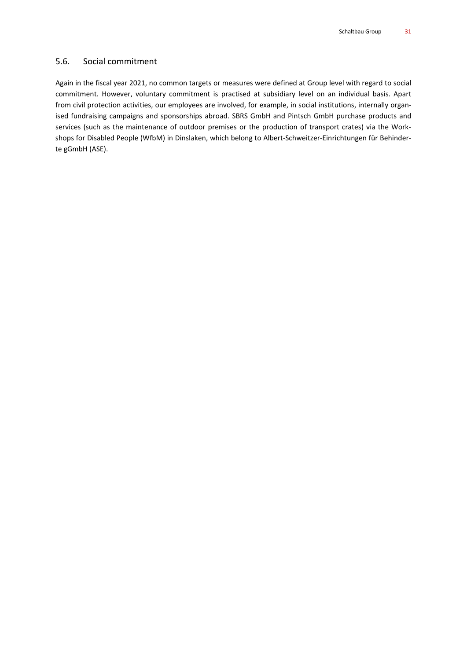## 5.6. Social commitment

Again in the fiscal year 2021, no common targets or measures were defined at Group level with regard to social commitment. However, voluntary commitment is practised at subsidiary level on an individual basis. Apart from civil protection activities, our employees are involved, for example, in social institutions, internally organised fundraising campaigns and sponsorships abroad. SBRS GmbH and Pintsch GmbH purchase products and services (such as the maintenance of outdoor premises or the production of transport crates) via the Workshops for Disabled People (WfbM) in Dinslaken, which belong to Albert-Schweitzer-Einrichtungen für Behinderte gGmbH (ASE).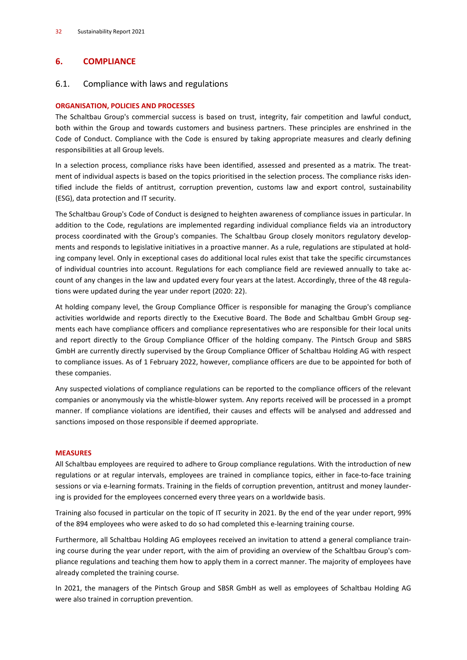## **6. COMPLIANCE**

## 6.1. Compliance with laws and regulations

## **ORGANISATION, POLICIES AND PROCESSES**

The Schaltbau Group's commercial success is based on trust, integrity, fair competition and lawful conduct, both within the Group and towards customers and business partners. These principles are enshrined in the Code of Conduct. Compliance with the Code is ensured by taking appropriate measures and clearly defining responsibilities at all Group levels.

In a selection process, compliance risks have been identified, assessed and presented as a matrix. The treatment of individual aspects is based on the topics prioritised in the selection process. The compliance risks identified include the fields of antitrust, corruption prevention, customs law and export control, sustainability (ESG), data protection and IT security.

The Schaltbau Group's Code of Conduct is designed to heighten awareness of compliance issues in particular. In addition to the Code, regulations are implemented regarding individual compliance fields via an introductory process coordinated with the Group's companies. The Schaltbau Group closely monitors regulatory developments and responds to legislative initiatives in a proactive manner. As a rule, regulations are stipulated at holding company level. Only in exceptional cases do additional local rules exist that take the specific circumstances of individual countries into account. Regulations for each compliance field are reviewed annually to take account of any changes in the law and updated every four years at the latest. Accordingly, three of the 48 regulations were updated during the year under report (2020: 22).

At holding company level, the Group Compliance Officer is responsible for managing the Group's compliance activities worldwide and reports directly to the Executive Board. The Bode and Schaltbau GmbH Group segments each have compliance officers and compliance representatives who are responsible for their local units and report directly to the Group Compliance Officer of the holding company. The Pintsch Group and SBRS GmbH are currently directly supervised by the Group Compliance Officer of Schaltbau Holding AG with respect to compliance issues. As of 1 February 2022, however, compliance officers are due to be appointed for both of these companies.

Any suspected violations of compliance regulations can be reported to the compliance officers of the relevant companies or anonymously via the whistle-blower system. Any reports received will be processed in a prompt manner. If compliance violations are identified, their causes and effects will be analysed and addressed and sanctions imposed on those responsible if deemed appropriate.

#### **MEASURES**

All Schaltbau employees are required to adhere to Group compliance regulations. With the introduction of new regulations or at regular intervals, employees are trained in compliance topics, either in face-to-face training sessions or via e-learning formats. Training in the fields of corruption prevention, antitrust and money laundering is provided for the employees concerned every three years on a worldwide basis.

Training also focused in particular on the topic of IT security in 2021. By the end of the year under report, 99% of the 894 employees who were asked to do so had completed this e-learning training course.

Furthermore, all Schaltbau Holding AG employees received an invitation to attend a general compliance training course during the year under report, with the aim of providing an overview of the Schaltbau Group's compliance regulations and teaching them how to apply them in a correct manner. The majority of employees have already completed the training course.

In 2021, the managers of the Pintsch Group and SBSR GmbH as well as employees of Schaltbau Holding AG were also trained in corruption prevention.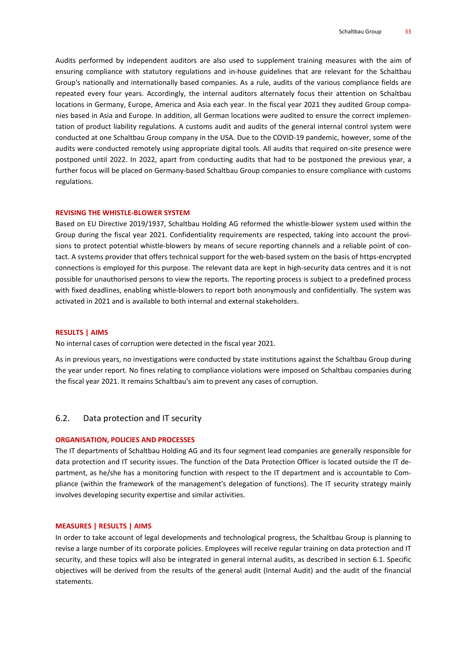Audits performed by independent auditors are also used to supplement training measures with the aim of ensuring compliance with statutory regulations and in-house guidelines that are relevant for the Schaltbau Group's nationally and internationally based companies. As a rule, audits of the various compliance fields are repeated every four years. Accordingly, the internal auditors alternately focus their attention on Schaltbau locations in Germany, Europe, America and Asia each year. In the fiscal year 2021 they audited Group companies based in Asia and Europe. In addition, all German locations were audited to ensure the correct implementation of product liability regulations. A customs audit and audits of the general internal control system were conducted at one Schaltbau Group company in the USA. Due to the COVID-19 pandemic, however, some of the audits were conducted remotely using appropriate digital tools. All audits that required on-site presence were postponed until 2022. In 2022, apart from conducting audits that had to be postponed the previous year, a further focus will be placed on Germany-based Schaltbau Group companies to ensure compliance with customs regulations.

#### **REVISING THE WHISTLE-BLOWER SYSTEM**

Based on EU Directive 2019/1937, Schaltbau Holding AG reformed the whistle-blower system used within the Group during the fiscal year 2021. Confidentiality requirements are respected, taking into account the provisions to protect potential whistle-blowers by means of secure reporting channels and a reliable point of contact. A systems provider that offers technical support for the web-based system on the basis of https-encrypted connections is employed for this purpose. The relevant data are kept in high-security data centres and it is not possible for unauthorised persons to view the reports. The reporting process is subject to a predefined process with fixed deadlines, enabling whistle-blowers to report both anonymously and confidentially. The system was activated in 2021 and is available to both internal and external stakeholders.

#### **RESULTS | AIMS**

No internal cases of corruption were detected in the fiscal year 2021.

As in previous years, no investigations were conducted by state institutions against the Schaltbau Group during the year under report. No fines relating to compliance violations were imposed on Schaltbau companies during the fiscal year 2021. It remains Schaltbau's aim to prevent any cases of corruption.

#### 6.2. Data protection and IT security

#### **ORGANISATION, POLICIES AND PROCESSES**

The IT departments of Schaltbau Holding AG and its four segment lead companies are generally responsible for data protection and IT security issues. The function of the Data Protection Officer is located outside the IT department, as he/she has a monitoring function with respect to the IT department and is accountable to Compliance (within the framework of the management's delegation of functions). The IT security strategy mainly involves developing security expertise and similar activities.

#### **MEASURES | RESULTS | AIMS**

In order to take account of legal developments and technological progress, the Schaltbau Group is planning to revise a large number of its corporate policies. Employees will receive regular training on data protection and IT security, and these topics will also be integrated in general internal audits, as described in section 6.1. Specific objectives will be derived from the results of the general audit (Internal Audit) and the audit of the financial statements.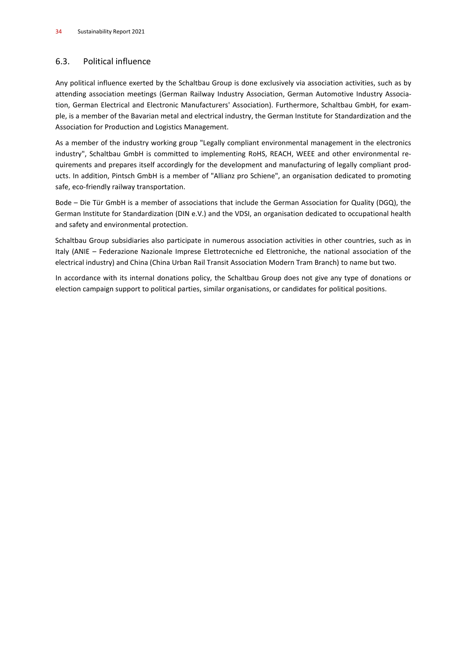# 6.3. Political influence

Any political influence exerted by the Schaltbau Group is done exclusively via association activities, such as by attending association meetings (German Railway Industry Association, German Automotive Industry Association, German Electrical and Electronic Manufacturers' Association). Furthermore, Schaltbau GmbH, for example, is a member of the Bavarian metal and electrical industry, the German Institute for Standardization and the Association for Production and Logistics Management.

As a member of the industry working group "Legally compliant environmental management in the electronics industry", Schaltbau GmbH is committed to implementing RoHS, REACH, WEEE and other environmental requirements and prepares itself accordingly for the development and manufacturing of legally compliant products. In addition, Pintsch GmbH is a member of "Allianz pro Schiene", an organisation dedicated to promoting safe, eco-friendly railway transportation.

Bode – Die Tür GmbH is a member of associations that include the German Association for Quality (DGQ), the German Institute for Standardization (DIN e.V.) and the VDSI, an organisation dedicated to occupational health and safety and environmental protection.

Schaltbau Group subsidiaries also participate in numerous association activities in other countries, such as in Italy (ANIE – Federazione Nazionale Imprese Elettrotecniche ed Elettroniche, the national association of the electrical industry) and China (China Urban Rail Transit Association Modern Tram Branch) to name but two.

In accordance with its internal donations policy, the Schaltbau Group does not give any type of donations or election campaign support to political parties, similar organisations, or candidates for political positions.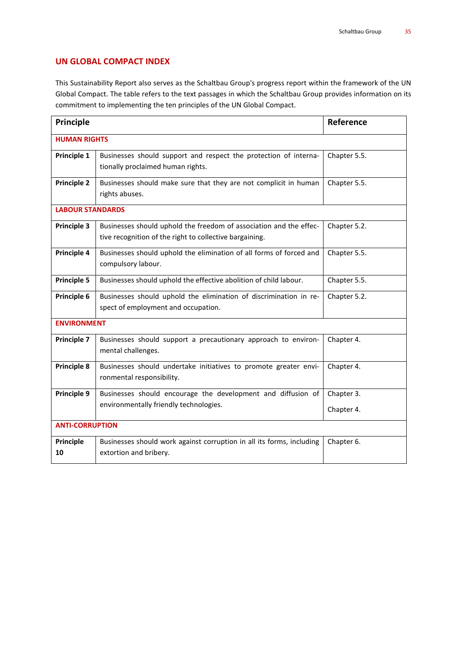## **UN GLOBAL COMPACT INDEX**

This Sustainability Report also serves as the Schaltbau Group's progress report within the framework of the UN Global Compact. The table refers to the text passages in which the Schaltbau Group provides information on its commitment to implementing the ten principles of the UN Global Compact.

| <b>Principle</b>        |                                                                                                                               | Reference    |  |  |  |
|-------------------------|-------------------------------------------------------------------------------------------------------------------------------|--------------|--|--|--|
| <b>HUMAN RIGHTS</b>     |                                                                                                                               |              |  |  |  |
| Principle 1             | Businesses should support and respect the protection of interna-<br>tionally proclaimed human rights.                         | Chapter 5.5. |  |  |  |
| <b>Principle 2</b>      | Businesses should make sure that they are not complicit in human<br>rights abuses.                                            | Chapter 5.5. |  |  |  |
| <b>LABOUR STANDARDS</b> |                                                                                                                               |              |  |  |  |
| Principle 3             | Businesses should uphold the freedom of association and the effec-<br>tive recognition of the right to collective bargaining. | Chapter 5.2. |  |  |  |
| Principle 4             | Businesses should uphold the elimination of all forms of forced and<br>compulsory labour.                                     | Chapter 5.5. |  |  |  |
| <b>Principle 5</b>      | Businesses should uphold the effective abolition of child labour.                                                             | Chapter 5.5. |  |  |  |
| Principle 6             | Businesses should uphold the elimination of discrimination in re-<br>spect of employment and occupation.                      | Chapter 5.2. |  |  |  |
| <b>ENVIRONMENT</b>      |                                                                                                                               |              |  |  |  |
| Principle 7             | Businesses should support a precautionary approach to environ-<br>mental challenges.                                          | Chapter 4.   |  |  |  |
| Principle 8             | Businesses should undertake initiatives to promote greater envi-<br>ronmental responsibility.                                 | Chapter 4.   |  |  |  |
| Principle 9             | Businesses should encourage the development and diffusion of                                                                  | Chapter 3.   |  |  |  |
|                         | environmentally friendly technologies.                                                                                        | Chapter 4.   |  |  |  |
| <b>ANTI-CORRUPTION</b>  |                                                                                                                               |              |  |  |  |
| <b>Principle</b><br>10  | Businesses should work against corruption in all its forms, including<br>extortion and bribery.                               | Chapter 6.   |  |  |  |